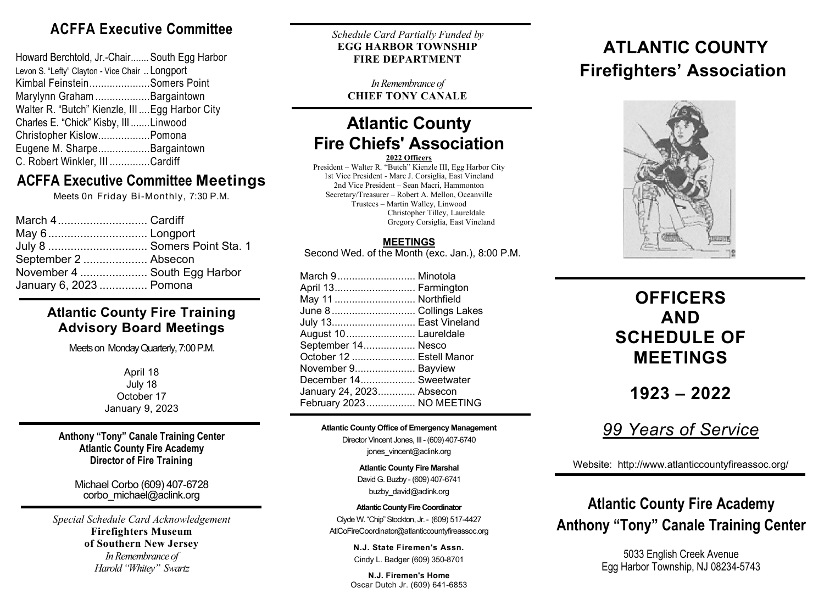## **ACFFA Executive Committee**

| Howard Berchtold, Jr.-Chair South Egg Harbor    |  |
|-------------------------------------------------|--|
| Levon S. "Lefty" Clayton - Vice Chair  Longport |  |
| Kimbal FeinsteinSomers Point                    |  |
| Marylynn Graham Bargaintown                     |  |
| Walter R. "Butch" Kienzle, III  Egg Harbor City |  |
| Charles E. "Chick" Kisby, III Linwood           |  |
| Christopher KislowPomona                        |  |
| Eugene M. SharpeBargaintown                     |  |
| C. Robert Winkler, III Cardiff                  |  |
|                                                 |  |

## **ACFFA Executive Committee Meetings**

Meets 0n Friday Bi-Monthly, 7:30 P.M.

| March 4 Cardiff              |  |
|------------------------------|--|
| May 6 Longport               |  |
| July 8  Somers Point Sta. 1  |  |
| September 2  Absecon         |  |
| November 4  South Egg Harbor |  |
| January 6, 2023  Pomona      |  |

#### **Atlantic County Fire Training Advisory Board Meetings**

Meets on Monday Quarterly, 7:00 P.M.

April 18 July 18 October 17 January 9, 2023

**Anthony "Tony" Canale Training Center Atlantic County Fire Academy Director of Fire Training**

> Michael Corbo (609) 407-6728 corbo\_michael@aclink.org

*Special Schedule Card Acknowledgement*  **Firefighters Museum of Southern New Jersey** *In Remembrance of Harold "Whitey" Swartz*

*Schedule Card Partially Funded by* **EGG HARBOR TOWNSHIP FIRE DEPARTMENT**

*In Remembrance of* **CHIEF TONY CANALE**

## **Atlantic County Fire Chiefs' Association**

**2022 Officers**

President – Walter R. "Butch" Kienzle III, Egg Harbor City 1st Vice President - Marc J. Corsiglia, East Vineland 2nd Vice President – Sean Macri, Hammonton Secretary/Treasurer – Robert A. Mellon, Oceanville Trustees – Martin Walley, Linwood Christopher Tilley, Laureldale Gregory Corsiglia, East Vineland

#### **MEETINGS**

Second Wed. of the Month (exc. Jan.), 8:00 P.M.

| March 9 Minotola         |  |
|--------------------------|--|
| April 13 Farmington      |  |
| May 11 Northfield        |  |
| June 8 Collings Lakes    |  |
| July 13 East Vineland    |  |
| August 10 Laureldale     |  |
| September 14 Nesco       |  |
| October 12  Estell Manor |  |
| November 9 Bayview       |  |
| December 14 Sweetwater   |  |
| January 24, 2023 Absecon |  |
| February 2023 NO MEETING |  |

#### **Atlantic County Office of Emergency Management**

Director Vincent Jones, III- (609) 407-6740

jones\_vincent@aclink.org

**Atlantic County Fire Marshal** David G. Buzby - (609) 407-6741 buzby\_david@aclink.org

**Atlantic County Fire Coordinator** Clyde W. "Chip" Stockton, Jr. - (609) 517-4427 AtlCoFireCoordinator@atlanticcountyfireassoc.org

> **N.J. State Firemen's Assn.** Cindy L. Badger (609) 350-8701

**N.J. Firemen's Home** Oscar Dutch Jr. (609) 641-6853

## **ATLANTIC COUNTY Firefighters' Association**



## **OFFICERS AND SCHEDULE OF MEETINGS**

**1923 – 2022**

## *99 Years of Service*

Website: http://www.atlanticcountyfireassoc.org/

# **Anthony "Tony" Canale Training Center Atlantic County Fire Academy**

5033 English Creek Avenue Egg Harbor Township, NJ 08234-5743